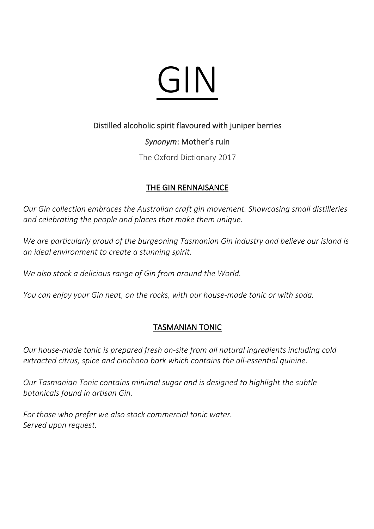

#### Distilled alcoholic spirit flavoured with juniper berries

### *Synonym*: Mother's ruin

The Oxford Dictionary 2017

### THE GIN RENNAISANCE

*Our Gin collection embraces the Australian craft gin movement. Showcasing small distilleries and celebrating the people and places that make them unique.*

*We are particularly proud of the burgeoning Tasmanian Gin industry and believe our island is an ideal environment to create a stunning spirit.*

*We also stock a delicious range of Gin from around the World.*

*You can enjoy your Gin neat, on the rocks, with our house-made tonic or with soda.*

## TASMANIAN TONIC

*Our house-made tonic is prepared fresh on-site from all natural ingredients including cold extracted citrus, spice and cinchona bark which contains the all-essential quinine.* 

*Our Tasmanian Tonic contains minimal sugar and is designed to highlight the subtle botanicals found in artisan Gin.*

*For those who prefer we also stock commercial tonic water. Served upon request.*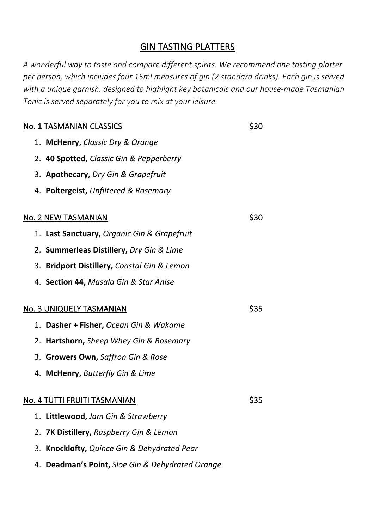# GIN TASTING PLATTERS

*A wonderful way to taste and compare different spirits. We recommend one tasting platter per person, which includes four 15ml measures of gin (2 standard drinks). Each gin is served with a unique garnish, designed to highlight key botanicals and our house-made Tasmanian Tonic is served separately for you to mix at your leisure.*

| <u>No. 1 TASMANIAN CLASSICS</u>                     | <b>S30</b>  |
|-----------------------------------------------------|-------------|
| 1. McHenry, Classic Dry & Orange                    |             |
| 2. 40 Spotted, Classic Gin & Pepperberry            |             |
| 3. Apothecary, Dry Gin & Grapefruit                 |             |
| 4. Poltergeist, Unfiltered & Rosemary               |             |
|                                                     | <b>\$30</b> |
| <u>No. 2 NEW TASMANIAN</u>                          |             |
| 1. Last Sanctuary, Organic Gin & Grapefruit         |             |
| 2. Summerleas Distillery, Dry Gin & Lime            |             |
| 3. Bridport Distillery, Coastal Gin & Lemon         |             |
| 4. Section 44, Masala Gin & Star Anise              |             |
| No. 3 UNIQUELY TASMANIAN                            | \$35        |
| 1. Dasher + Fisher, Ocean Gin & Wakame              |             |
| 2. Hartshorn, Sheep Whey Gin & Rosemary             |             |
| 3. Growers Own, Saffron Gin & Rose                  |             |
| 4. McHenry, Butterfly Gin & Lime                    |             |
| No. 4 TUTTI FRUITI TASMANIAN                        | \$35        |
|                                                     |             |
| 1. Littlewood, Jam Gin & Strawberry                 |             |
| 7K Distillery, Raspberry Gin & Lemon<br>2.          |             |
| Knocklofty, Quince Gin & Dehydrated Pear<br>3.      |             |
| Deadman's Point, Sloe Gin & Dehydrated Orange<br>4. |             |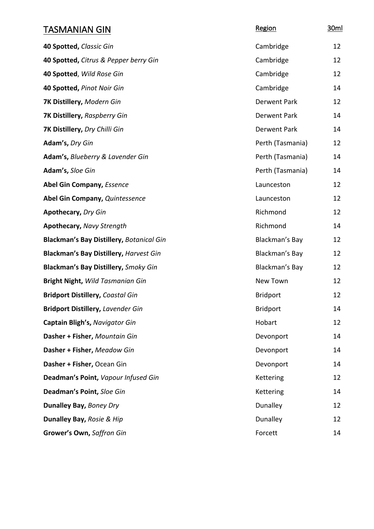| TASMANIAN GIN                                   | Region              | 30ml |
|-------------------------------------------------|---------------------|------|
| 40 Spotted, Classic Gin                         | Cambridge           | 12   |
| 40 Spotted, Citrus & Pepper berry Gin           | Cambridge           | 12   |
| 40 Spotted, Wild Rose Gin                       | Cambridge           | 12   |
| 40 Spotted, Pinot Noir Gin                      | Cambridge           | 14   |
| 7K Distillery, Modern Gin                       | Derwent Park        | 12   |
| 7K Distillery, Raspberry Gin                    | Derwent Park        | 14   |
| 7K Distillery, Dry Chilli Gin                   | <b>Derwent Park</b> | 14   |
| Adam's, Dry Gin                                 | Perth (Tasmania)    | 12   |
| Adam's, Blueberry & Lavender Gin                | Perth (Tasmania)    | 14   |
| Adam's, Sloe Gin                                | Perth (Tasmania)    | 14   |
| <b>Abel Gin Company, Essence</b>                | Launceston          | 12   |
| Abel Gin Company, Quintessence                  | Launceston          | 12   |
| <b>Apothecary, Dry Gin</b>                      | Richmond            | 12   |
| <b>Apothecary, Navy Strength</b>                | Richmond            | 14   |
| <b>Blackman's Bay Distillery, Botanical Gin</b> | Blackman's Bay      | 12   |
| <b>Blackman's Bay Distillery, Harvest Gin</b>   | Blackman's Bay      | 12   |
| <b>Blackman's Bay Distillery, Smoky Gin</b>     | Blackman's Bay      | 12   |
| <b>Bright Night, Wild Tasmanian Gin</b>         | New Town            | 12   |
| <b>Bridport Distillery, Coastal Gin</b>         | <b>Bridport</b>     | 12   |
| <b>Bridport Distillery, Lavender Gin</b>        | <b>Bridport</b>     | 14   |
| Captain Bligh's, Navigator Gin                  | Hobart              | 12   |
| Dasher + Fisher, Mountain Gin                   | Devonport           | 14   |
| Dasher + Fisher, Meadow Gin                     | Devonport           | 14   |
| Dasher + Fisher, Ocean Gin                      | Devonport           | 14   |
| Deadman's Point, Vapour Infused Gin             | Kettering           | 12   |
| Deadman's Point, Sloe Gin                       | Kettering           | 14   |
| Dunalley Bay, Boney Dry                         | Dunalley            | 12   |
| Dunalley Bay, Rosie & Hip                       | Dunalley            | 12   |
| Grower's Own, Saffron Gin                       | Forcett             | 14   |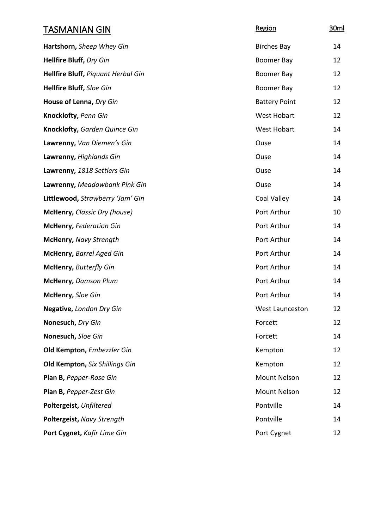| <b>TASMANIAN GIN</b>                      | Region                 | 30ml |
|-------------------------------------------|------------------------|------|
| Hartshorn, Sheep Whey Gin                 | <b>Birches Bay</b>     | 14   |
| <b>Hellfire Bluff, Dry Gin</b>            | Boomer Bay             | 12   |
| <b>Hellfire Bluff, Piquant Herbal Gin</b> | Boomer Bay             | 12   |
| <b>Hellfire Bluff, Sloe Gin</b>           | Boomer Bay             | 12   |
| House of Lenna, Dry Gin                   | <b>Battery Point</b>   | 12   |
| Knocklofty, Penn Gin                      | <b>West Hobart</b>     | 12   |
| <b>Knocklofty, Garden Quince Gin</b>      | <b>West Hobart</b>     | 14   |
| Lawrenny, Van Diemen's Gin                | Ouse                   | 14   |
| Lawrenny, Highlands Gin                   | Ouse                   | 14   |
| Lawrenny, 1818 Settlers Gin               | Ouse                   | 14   |
| Lawrenny, Meadowbank Pink Gin             | Ouse                   | 14   |
| Littlewood, Strawberry 'Jam' Gin          | Coal Valley            | 14   |
| McHenry, Classic Dry (house)              | Port Arthur            | 10   |
| <b>McHenry, Federation Gin</b>            | Port Arthur            | 14   |
| McHenry, Navy Strength                    | Port Arthur            | 14   |
| McHenry, Barrel Aged Gin                  | Port Arthur            | 14   |
| <b>McHenry, Butterfly Gin</b>             | Port Arthur            | 14   |
| <b>McHenry, Damson Plum</b>               | Port Arthur            | 14   |
| McHenry, Sloe Gin                         | Port Arthur            | 14   |
| Negative, London Dry Gin                  | <b>West Launceston</b> | 12   |
| Nonesuch, Dry Gin                         | Forcett                | 12   |
| Nonesuch, Sloe Gin                        | Forcett                | 14   |
| Old Kempton, Embezzler Gin                | Kempton                | 12   |
| <b>Old Kempton, Six Shillings Gin</b>     | Kempton                | 12   |
| Plan B, Pepper-Rose Gin                   | <b>Mount Nelson</b>    | 12   |
| Plan B, Pepper-Zest Gin                   | Mount Nelson           | 12   |
| Poltergeist, Unfiltered                   | Pontville              | 14   |
| Poltergeist, Navy Strength                | Pontville              | 14   |
| Port Cygnet, Kafir Lime Gin               | Port Cygnet            | 12   |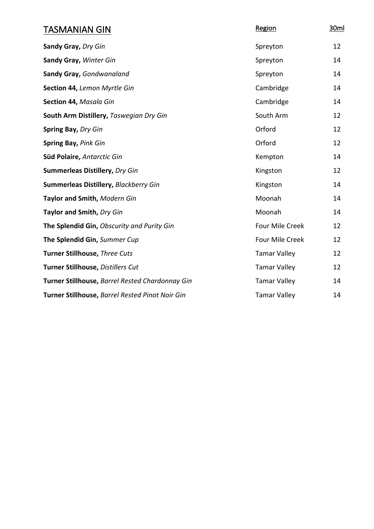| <b>TASMANIAN GIN</b>                            | Region              | 30ml |
|-------------------------------------------------|---------------------|------|
| Sandy Gray, Dry Gin                             | Spreyton            | 12   |
| Sandy Gray, Winter Gin                          | Spreyton            | 14   |
| Sandy Gray, Gondwanaland                        | Spreyton            | 14   |
| Section 44, Lemon Myrtle Gin                    | Cambridge           | 14   |
| Section 44, Masala Gin                          | Cambridge           | 14   |
| South Arm Distillery, Taswegian Dry Gin         | South Arm           | 12   |
| Spring Bay, Dry Gin                             | Orford              | 12   |
| Spring Bay, Pink Gin                            | Orford              | 12   |
| Süd Polaire, Antarctic Gin                      | Kempton             | 14   |
| <b>Summerleas Distillery, Dry Gin</b>           | Kingston            | 12   |
| Summerleas Distillery, Blackberry Gin           | Kingston            | 14   |
| Taylor and Smith, Modern Gin                    | Moonah              | 14   |
| Taylor and Smith, Dry Gin                       | Moonah              | 14   |
| The Splendid Gin, Obscurity and Purity Gin      | Four Mile Creek     | 12   |
| The Splendid Gin, Summer Cup                    | Four Mile Creek     | 12   |
| Turner Stillhouse, Three Cuts                   | <b>Tamar Valley</b> | 12   |
| Turner Stillhouse, Distillers Cut               | <b>Tamar Valley</b> | 12   |
| Turner Stillhouse, Barrel Rested Chardonnay Gin | <b>Tamar Valley</b> | 14   |
| Turner Stillhouse, Barrel Rested Pinot Noir Gin | <b>Tamar Valley</b> | 14   |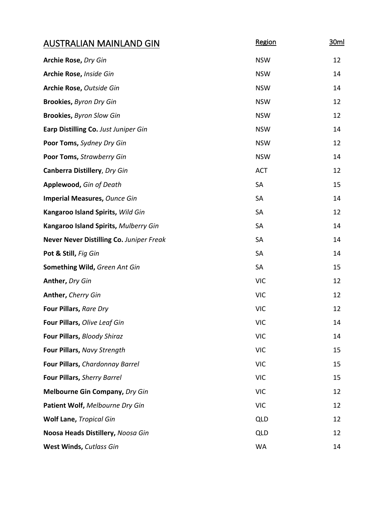| <b>AUSTRALIAN MAINLAND GIN</b>           | Region     | 30ml |
|------------------------------------------|------------|------|
| Archie Rose, Dry Gin                     | <b>NSW</b> | 12   |
| Archie Rose, Inside Gin                  | <b>NSW</b> | 14   |
| Archie Rose, Outside Gin                 | <b>NSW</b> | 14   |
| <b>Brookies, Byron Dry Gin</b>           | <b>NSW</b> | 12   |
| <b>Brookies, Byron Slow Gin</b>          | <b>NSW</b> | 12   |
| Earp Distilling Co. Just Juniper Gin     | <b>NSW</b> | 14   |
| Poor Toms, Sydney Dry Gin                | <b>NSW</b> | 12   |
| Poor Toms, Strawberry Gin                | <b>NSW</b> | 14   |
| <b>Canberra Distillery, Dry Gin</b>      | <b>ACT</b> | 12   |
| Applewood, Gin of Death                  | SA         | 15   |
| <b>Imperial Measures, Ounce Gin</b>      | <b>SA</b>  | 14   |
| Kangaroo Island Spirits, Wild Gin        | <b>SA</b>  | 12   |
| Kangaroo Island Spirits, Mulberry Gin    | <b>SA</b>  | 14   |
| Never Never Distilling Co. Juniper Freak | <b>SA</b>  | 14   |
| Pot & Still, Fig Gin                     | <b>SA</b>  | 14   |
| Something Wild, Green Ant Gin            | <b>SA</b>  | 15   |
| Anther, Dry Gin                          | <b>VIC</b> | 12   |
| Anther, Cherry Gin                       | <b>VIC</b> | 12   |
| Four Pillars, Rare Dry                   | <b>VIC</b> | 12   |
| Four Pillars, Olive Leaf Gin             | <b>VIC</b> | 14   |
| Four Pillars, Bloody Shiraz              | <b>VIC</b> | 14   |
| Four Pillars, Navy Strength              | <b>VIC</b> | 15   |
| Four Pillars, Chardonnay Barrel          | <b>VIC</b> | 15   |
| Four Pillars, Sherry Barrel              | <b>VIC</b> | 15   |
| <b>Melbourne Gin Company, Dry Gin</b>    | <b>VIC</b> | 12   |
| Patient Wolf, Melbourne Dry Gin          | <b>VIC</b> | 12   |
| <b>Wolf Lane, Tropical Gin</b>           | QLD        | 12   |
| Noosa Heads Distillery, Noosa Gin        | <b>QLD</b> | 12   |
| West Winds, Cutlass Gin                  | <b>WA</b>  | 14   |